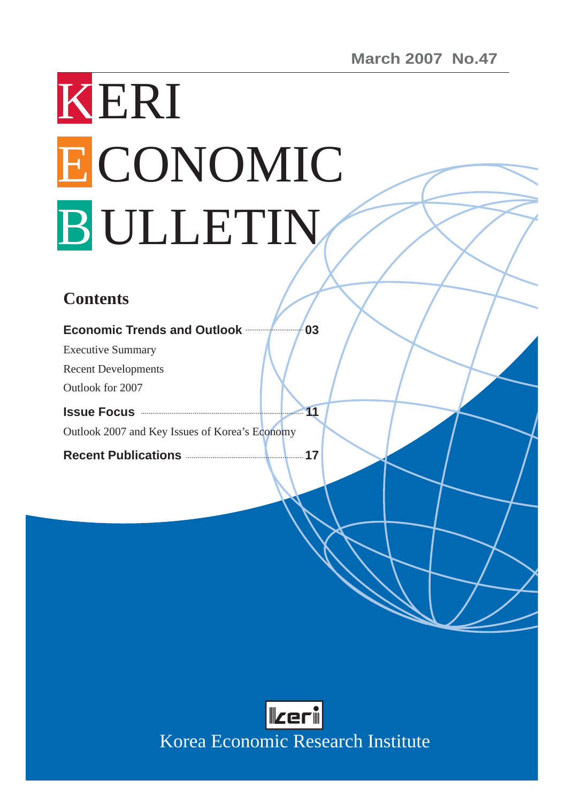# KERI ECONOMIC B ULLETIN

# **Contents**

| <b>Economic Trends and Outlook Example 2016</b> | 03 |
|-------------------------------------------------|----|
| <b>Executive Summary</b>                        |    |
| <b>Recent Developments</b>                      |    |
| Outlook for 2007                                |    |
|                                                 |    |
|                                                 |    |
| Outlook 2007 and Key Issues of Korea's Economy  |    |



Korea Economic Research Institute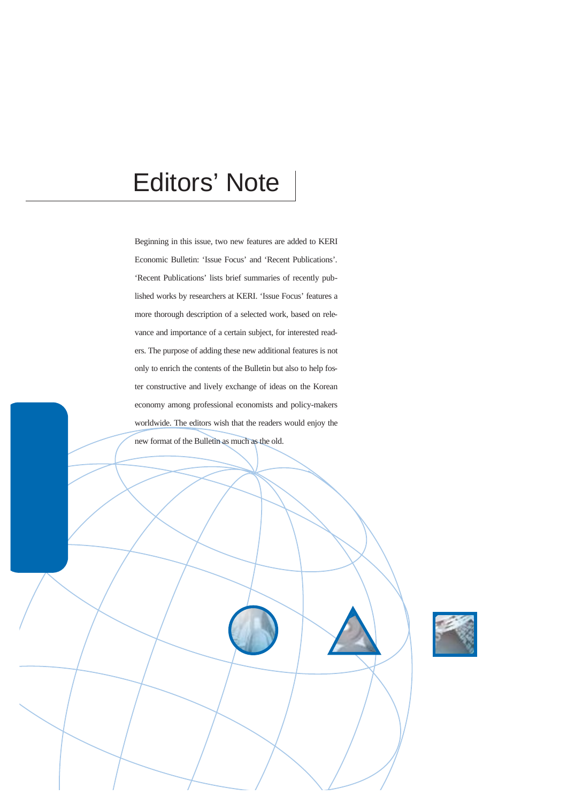# Editors' Note

Beginning in this issue, two new features are added to KERI Economic Bulletin: 'Issue Focus' and 'Recent Publications'. 'Recent Publications' lists brief summaries of recently published works by researchers at KERI. 'Issue Focus' features a more thorough description of a selected work, based on relevance and importance of a certain subject, for interested readers. The purpose of adding these new additional features is not only to enrich the contents of the Bulletin but also to help foster constructive and lively exchange of ideas on the Korean economy among professional economists and policy-makers worldwide. The editors wish that the readers would enjoy the new format of the Bulletin as much as the old.

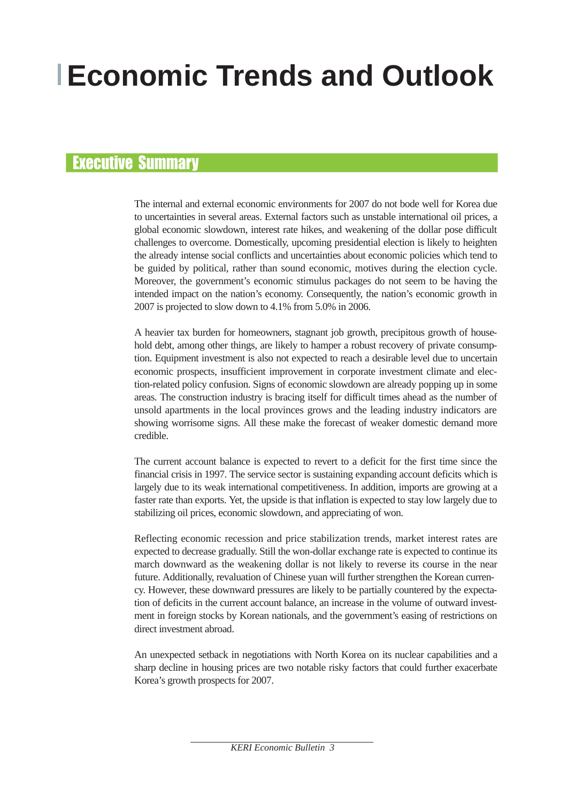# **Economic Trends and Outlook**

## Executive Summary

The internal and external economic environments for 2007 do not bode well for Korea due to uncertainties in several areas. External factors such as unstable international oil prices, a global economic slowdown, interest rate hikes, and weakening of the dollar pose difficult challenges to overcome. Domestically, upcoming presidential election is likely to heighten the already intense social conflicts and uncertainties about economic policies which tend to be guided by political, rather than sound economic, motives during the election cycle. Moreover, the government's economic stimulus packages do not seem to be having the intended impact on the nation's economy. Consequently, the nation's economic growth in 2007 is projected to slow down to 4.1% from 5.0% in 2006.

A heavier tax burden for homeowners, stagnant job growth, precipitous growth of household debt, among other things, are likely to hamper a robust recovery of private consumption. Equipment investment is also not expected to reach a desirable level due to uncertain economic prospects, insufficient improvement in corporate investment climate and election-related policy confusion. Signs of economic slowdown are already popping up in some areas. The construction industry is bracing itself for difficult times ahead as the number of unsold apartments in the local provinces grows and the leading industry indicators are showing worrisome signs. All these make the forecast of weaker domestic demand more credible.

The current account balance is expected to revert to a deficit for the first time since the financial crisis in 1997. The service sector is sustaining expanding account deficits which is largely due to its weak international competitiveness. In addition, imports are growing at a faster rate than exports. Yet, the upside is that inflation is expected to stay low largely due to stabilizing oil prices, economic slowdown, and appreciating of won.

Reflecting economic recession and price stabilization trends, market interest rates are expected to decrease gradually. Still the won-dollar exchange rate is expected to continue its march downward as the weakening dollar is not likely to reverse its course in the near future. Additionally, revaluation of Chinese yuan will further strengthen the Korean currency. However, these downward pressures are likely to be partially countered by the expectation of deficits in the current account balance, an increase in the volume of outward investment in foreign stocks by Korean nationals, and the government's easing of restrictions on direct investment abroad.

An unexpected setback in negotiations with North Korea on its nuclear capabilities and a sharp decline in housing prices are two notable risky factors that could further exacerbate Korea's growth prospects for 2007.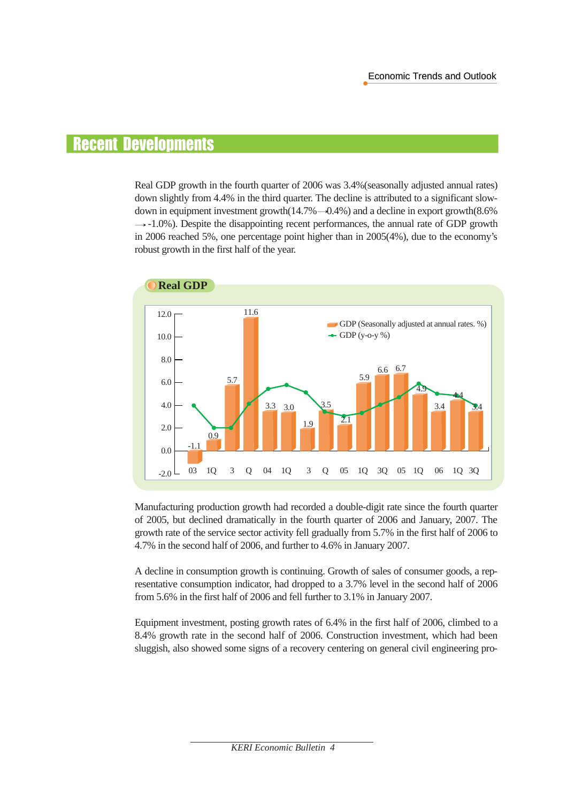# Recent Developments

Real GDP growth in the fourth quarter of 2006 was 3.4%(seasonally adjusted annual rates) down slightly from 4.4% in the third quarter. The decline is attributed to a significant slowdown in equipment investment growth $(14.7\% - 0.4\%)$  and a decline in export growth $(8.6\%$  $\rightarrow$  -1.0%). Despite the disappointing recent performances, the annual rate of GDP growth in 2006 reached 5%, one percentage point higher than in 2005(4%), due to the economy's robust growth in the first half of the year.



Manufacturing production growth had recorded a double-digit rate since the fourth quarter of 2005, but declined dramatically in the fourth quarter of 2006 and January, 2007. The growth rate of the service sector activity fell gradually from 5.7% in the first half of 2006 to 4.7% in the second half of 2006, and further to 4.6% in January 2007.

A decline in consumption growth is continuing. Growth of sales of consumer goods, a representative consumption indicator, had dropped to a 3.7% level in the second half of 2006 from 5.6% in the first half of 2006 and fell further to 3.1% in January 2007.

Equipment investment, posting growth rates of 6.4% in the first half of 2006, climbed to a 8.4% growth rate in the second half of 2006. Construction investment, which had been sluggish, also showed some signs of a recovery centering on general civil engineering pro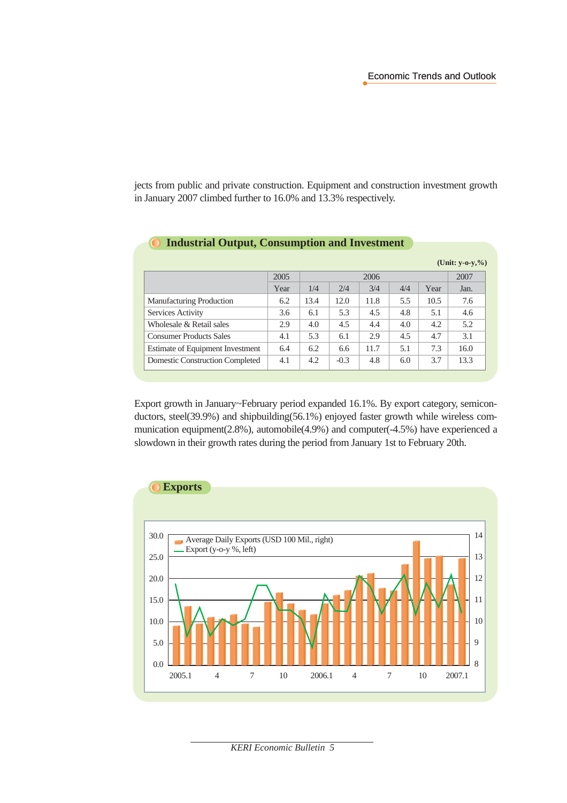jects from public and private construction. Equipment and construction investment growth in January 2007 climbed further to 16.0% and 13.3% respectively.

**Industrial Output, Consumption and Investment**

 $\bullet$ 

|                                        |      |      |        |      |     |      | (Unit: $y - 0 - y, %$ ) |
|----------------------------------------|------|------|--------|------|-----|------|-------------------------|
|                                        | 2005 |      |        | 2006 |     |      | 2007                    |
|                                        | Year | 1/4  | 2/4    | 3/4  | 4/4 | Year | Jan.                    |
| <b>Manufacturing Production</b>        | 6.2  | 13.4 | 12.0   | 11.8 | 5.5 | 10.5 | 7.6                     |
| Services Activity                      | 3.6  | 6.1  | 5.3    | 4.5  | 4.8 | 5.1  | 4.6                     |
| Wholesale & Retail sales               | 2.9  | 4.0  | 4.5    | 4.4  | 4.0 | 4.2  | 5.2                     |
| <b>Consumer Products Sales</b>         | 4.1  | 5.3  | 6.1    | 2.9  | 4.5 | 4.7  | 3.1                     |
| Estimate of Equipment Investment       | 6.4  | 6.2  | 6.6    | 11.7 | 5.1 | 7.3  | 16.0                    |
| <b>Domestic Construction Completed</b> | 4.1  | 4.2  | $-0.3$ | 4.8  | 6.0 | 3.7  | 13.3                    |

Export growth in January~February period expanded 16.1%. By export category, semiconductors, steel(39.9%) and shipbuilding(56.1%) enjoyed faster growth while wireless communication equipment(2.8%), automobile(4.9%) and computer(-4.5%) have experienced a slowdown in their growth rates during the period from January 1st to February 20th.



*KERI Economic Bulletin 5*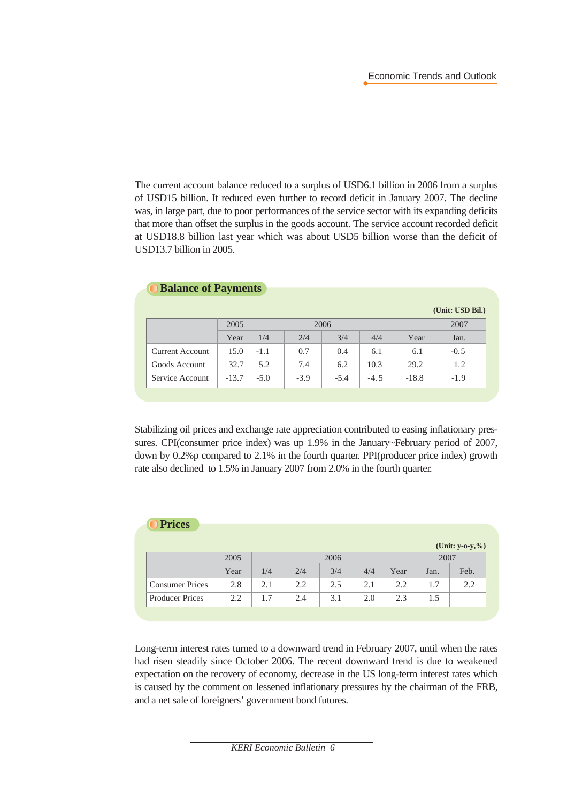The current account balance reduced to a surplus of USD6.1 billion in 2006 from a surplus of USD15 billion. It reduced even further to record deficit in January 2007. The decline was, in large part, due to poor performances of the service sector with its expanding deficits that more than offset the surplus in the goods account. The service account recorded deficit at USD18.8 billion last year which was about USD5 billion worse than the deficit of USD13.7 billion in 2005.

| <b>Balance of Payments</b> |         |        |        |        |        |         |                  |  |  |
|----------------------------|---------|--------|--------|--------|--------|---------|------------------|--|--|
|                            |         |        |        |        |        |         | (Unit: USD Bil.) |  |  |
|                            | 2005    |        |        | 2006   |        |         | 2007             |  |  |
|                            | Year    | 1/4    | 2/4    | 3/4    | 4/4    | Year    | Jan.             |  |  |
| Current Account            | 15.0    | $-1.1$ | 0.7    | 0.4    | 6.1    | 6.1     | $-0.5$           |  |  |
| Goods Account              | 32.7    | 5.2    | 7.4    | 6.2    | 10.3   | 29.2    | 1.2              |  |  |
| Service Account            | $-13.7$ | $-5.0$ | $-3.9$ | $-5.4$ | $-4.5$ | $-18.8$ | $-1.9$           |  |  |
|                            |         |        |        |        |        |         |                  |  |  |

Stabilizing oil prices and exchange rate appreciation contributed to easing inflationary pressures. CPI(consumer price index) was up 1.9% in the January~February period of 2007, down by 0.2%p compared to 2.1% in the fourth quarter. PPI(producer price index) growth rate also declined to 1.5% in January 2007 from 2.0% in the fourth quarter.

|      |     |     |      |     |      |      | (Unit: $y - 0 - y, %$ ) |
|------|-----|-----|------|-----|------|------|-------------------------|
| 2005 |     |     | 2006 |     |      |      |                         |
| Year | 1/4 | 2/4 | 3/4  | 4/4 | Year | Jan. | Feb.                    |
| 2.8  | 2.1 | 2.2 | 2.5  | 2.1 | 2.2  | 1.7  | 2.2                     |
| 2.2  | 1.7 | 2.4 | 3.1  | 2.0 | 2.3  | 1.5  |                         |
|      |     |     |      |     |      |      | 2007                    |

Long-term interest rates turned to a downward trend in February 2007, until when the rates had risen steadily since October 2006. The recent downward trend is due to weakened expectation on the recovery of economy, decrease in the US long-term interest rates which is caused by the comment on lessened inflationary pressures by the chairman of the FRB, and a net sale of foreigners' government bond futures.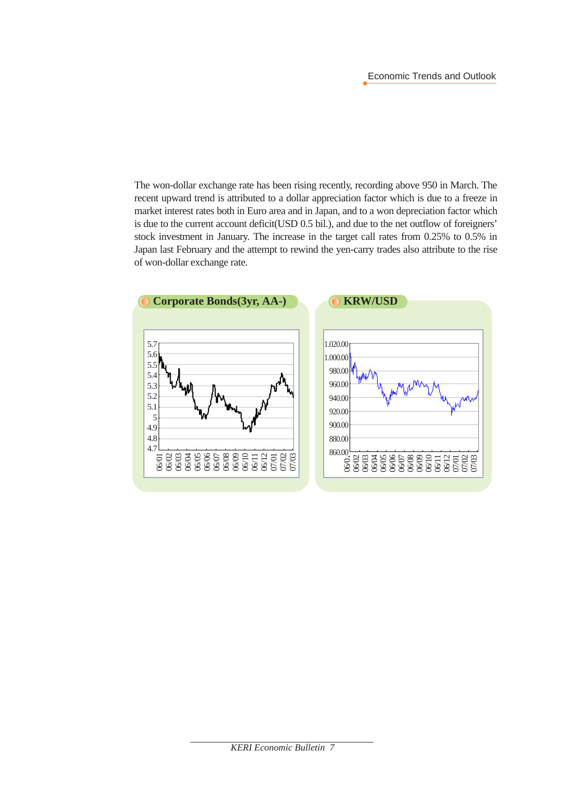The won-dollar exchange rate has been rising recently, recording above 950 in March. The recent upward trend is attributed to a dollar appreciation factor which is due to a freeze in market interest rates both in Euro area and in Japan, and to a won depreciation factor which is due to the current account deficit(USD 0.5 bil.), and due to the net outflow of foreigners' stock investment in January. The increase in the target call rates from 0.25% to 0.5% in Japan last February and the attempt to rewind the yen-carry trades also attribute to the rise of won-dollar exchange rate.

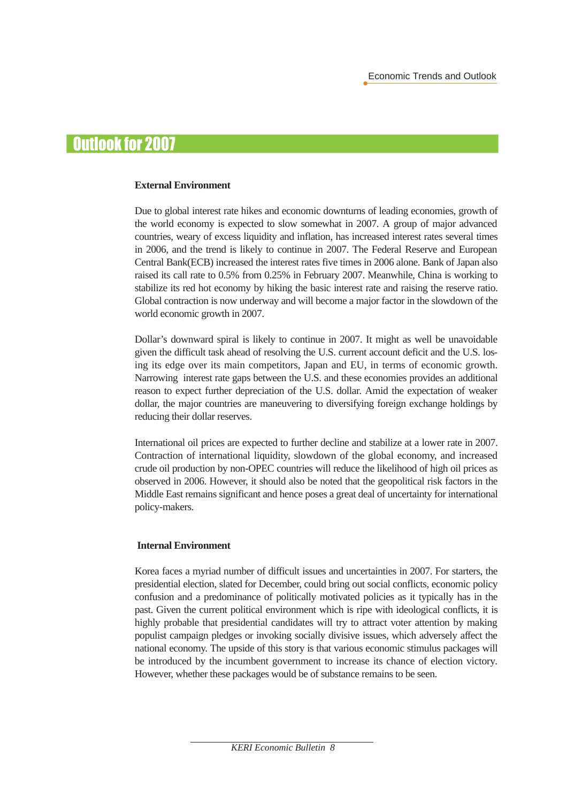# Outlook for 2007

#### **External Environment**

Due to global interest rate hikes and economic downturns of leading economies, growth of the world economy is expected to slow somewhat in 2007. A group of major advanced countries, weary of excess liquidity and inflation, has increased interest rates several times in 2006, and the trend is likely to continue in 2007. The Federal Reserve and European Central Bank(ECB) increased the interest rates five times in 2006 alone. Bank of Japan also raised its call rate to 0.5% from 0.25% in February 2007. Meanwhile, China is working to stabilize its red hot economy by hiking the basic interest rate and raising the reserve ratio. Global contraction is now underway and will become a major factor in the slowdown of the world economic growth in 2007.

Dollar's downward spiral is likely to continue in 2007. It might as well be unavoidable given the difficult task ahead of resolving the U.S. current account deficit and the U.S. losing its edge over its main competitors, Japan and EU, in terms of economic growth. Narrowing interest rate gaps between the U.S. and these economies provides an additional reason to expect further depreciation of the U.S. dollar. Amid the expectation of weaker dollar, the major countries are maneuvering to diversifying foreign exchange holdings by reducing their dollar reserves.

International oil prices are expected to further decline and stabilize at a lower rate in 2007. Contraction of international liquidity, slowdown of the global economy, and increased crude oil production by non-OPEC countries will reduce the likelihood of high oil prices as observed in 2006. However, it should also be noted that the geopolitical risk factors in the Middle East remains significant and hence poses a great deal of uncertainty for international policy-makers.

#### **Internal Environment**

Korea faces a myriad number of difficult issues and uncertainties in 2007. For starters, the presidential election, slated for December, could bring out social conflicts, economic policy confusion and a predominance of politically motivated policies as it typically has in the past. Given the current political environment which is ripe with ideological conflicts, it is highly probable that presidential candidates will try to attract voter attention by making populist campaign pledges or invoking socially divisive issues, which adversely affect the national economy. The upside of this story is that various economic stimulus packages will be introduced by the incumbent government to increase its chance of election victory. However, whether these packages would be of substance remains to be seen.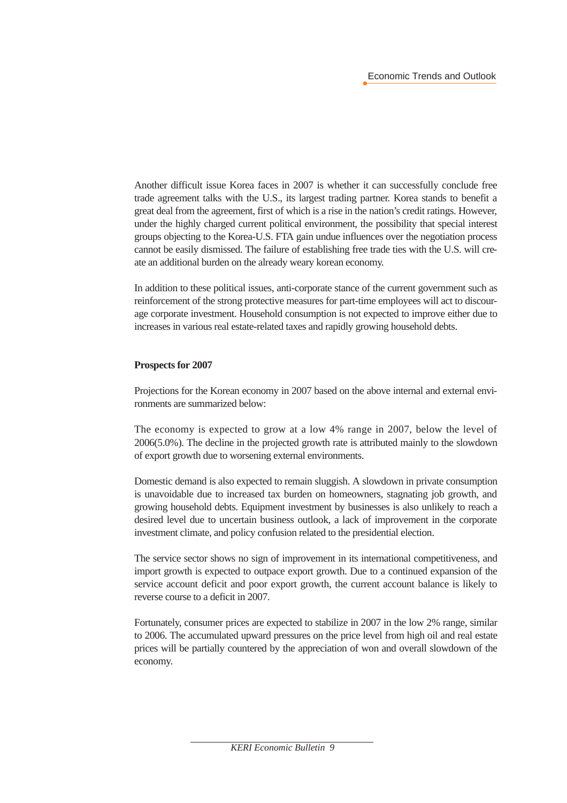Another difficult issue Korea faces in 2007 is whether it can successfully conclude free trade agreement talks with the U.S., its largest trading partner. Korea stands to benefit a great deal from the agreement, first of which is a rise in the nation's credit ratings. However, under the highly charged current political environment, the possibility that special interest groups objecting to the Korea-U.S. FTA gain undue influences over the negotiation process cannot be easily dismissed. The failure of establishing free trade ties with the U.S. will create an additional burden on the already weary korean economy.

In addition to these political issues, anti-corporate stance of the current government such as reinforcement of the strong protective measures for part-time employees will act to discourage corporate investment. Household consumption is not expected to improve either due to increases in various real estate-related taxes and rapidly growing household debts.

#### **Prospects for 2007**

Projections for the Korean economy in 2007 based on the above internal and external environments are summarized below:

The economy is expected to grow at a low 4% range in 2007, below the level of 2006(5.0%). The decline in the projected growth rate is attributed mainly to the slowdown of export growth due to worsening external environments.

Domestic demand is also expected to remain sluggish. A slowdown in private consumption is unavoidable due to increased tax burden on homeowners, stagnating job growth, and growing household debts. Equipment investment by businesses is also unlikely to reach a desired level due to uncertain business outlook, a lack of improvement in the corporate investment climate, and policy confusion related to the presidential election.

The service sector shows no sign of improvement in its international competitiveness, and import growth is expected to outpace export growth. Due to a continued expansion of the service account deficit and poor export growth, the current account balance is likely to reverse course to a deficit in 2007.

Fortunately, consumer prices are expected to stabilize in 2007 in the low 2% range, similar to 2006. The accumulated upward pressures on the price level from high oil and real estate prices will be partially countered by the appreciation of won and overall slowdown of the economy.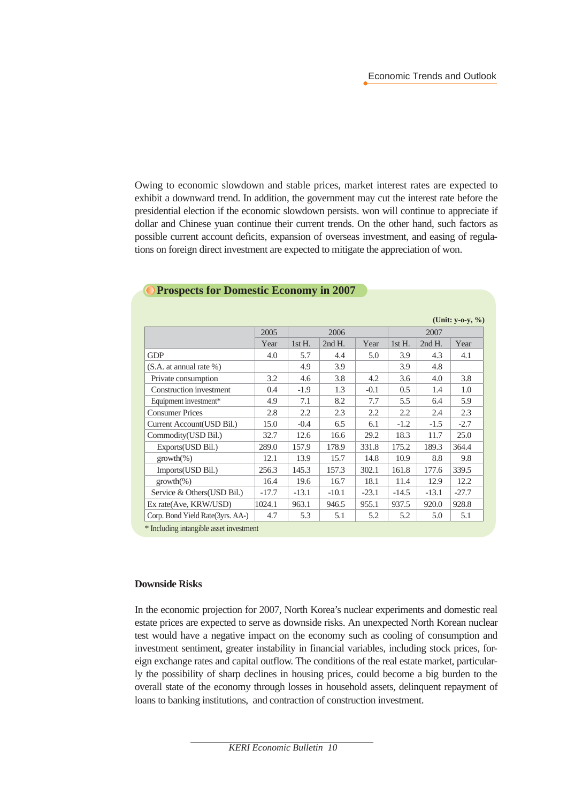Owing to economic slowdown and stable prices, market interest rates are expected to exhibit a downward trend. In addition, the government may cut the interest rate before the presidential election if the economic slowdown persists. won will continue to appreciate if dollar and Chinese yuan continue their current trends. On the other hand, such factors as possible current account deficits, expansion of overseas investment, and easing of regulations on foreign direct investment are expected to mitigate the appreciation of won.

|                                   |         |         |          |         |          |          | (Unit: $y - 0 - y, %$ ) |
|-----------------------------------|---------|---------|----------|---------|----------|----------|-------------------------|
|                                   | 2005    | 2006    |          |         | 2007     |          |                         |
|                                   | Year    | 1stH.   | $2ndH$ . | Year    | $1stH$ . | $2ndH$ . | Year                    |
| <b>GDP</b>                        | 4.0     | 5.7     | 4.4      | 5.0     | 3.9      | 4.3      | 4.1                     |
| (S.A. at annual rate %)           |         | 4.9     | 3.9      |         | 3.9      | 4.8      |                         |
| Private consumption               | 3.2     | 4.6     | 3.8      | 4.2     | 3.6      | 4.0      | 3.8                     |
| Construction investment           | 0.4     | $-1.9$  | 1.3      | $-0.1$  | 0.5      | 1.4      | 1.0                     |
| Equipment investment*             | 4.9     | 7.1     | 8.2      | 7.7     | 5.5      | 6.4      | 5.9                     |
| <b>Consumer Prices</b>            | 2.8     | 2.2     | 2.3      | 2.2     | 2.2      | 2.4      | 2.3                     |
| Current Account (USD Bil.)        | 15.0    | $-0.4$  | 6.5      | 6.1     | $-1.2$   | $-1.5$   | $-2.7$                  |
| Commodity(USD Bil.)               | 32.7    | 12.6    | 16.6     | 29.2    | 18.3     | 11.7     | 25.0                    |
| Exports(USD Bil.)                 | 289.0   | 157.9   | 178.9    | 331.8   | 175.2    | 189.3    | 364.4                   |
| $growth(\%)$                      | 12.1    | 13.9    | 15.7     | 14.8    | 10.9     | 8.8      | 9.8                     |
| Imports(USD Bil.)                 | 256.3   | 145.3   | 157.3    | 302.1   | 161.8    | 177.6    | 339.5                   |
| $growth(\%)$                      | 16.4    | 19.6    | 16.7     | 18.1    | 11.4     | 12.9     | 12.2                    |
| Service & Others (USD Bil.)       | $-17.7$ | $-13.1$ | $-10.1$  | $-23.1$ | $-14.5$  | $-13.1$  | $-27.7$                 |
| Ex rate(Ave, KRW/USD)             | 1024.1  | 963.1   | 946.5    | 955.1   | 937.5    | 920.0    | 928.8                   |
| Corp. Bond Yield Rate (3yrs. AA-) | 4.7     | 5.3     | 5.1      | 5.2     | 5.2      | 5.0      | 5.1                     |

#### **Prospects for Domestic Economy in 2007**

\* Including intangible asset investment

#### **Downside Risks**

In the economic projection for 2007, North Korea's nuclear experiments and domestic real estate prices are expected to serve as downside risks. An unexpected North Korean nuclear test would have a negative impact on the economy such as cooling of consumption and investment sentiment, greater instability in financial variables, including stock prices, foreign exchange rates and capital outflow. The conditions of the real estate market, particularly the possibility of sharp declines in housing prices, could become a big burden to the overall state of the economy through losses in household assets, delinquent repayment of loans to banking institutions, and contraction of construction investment.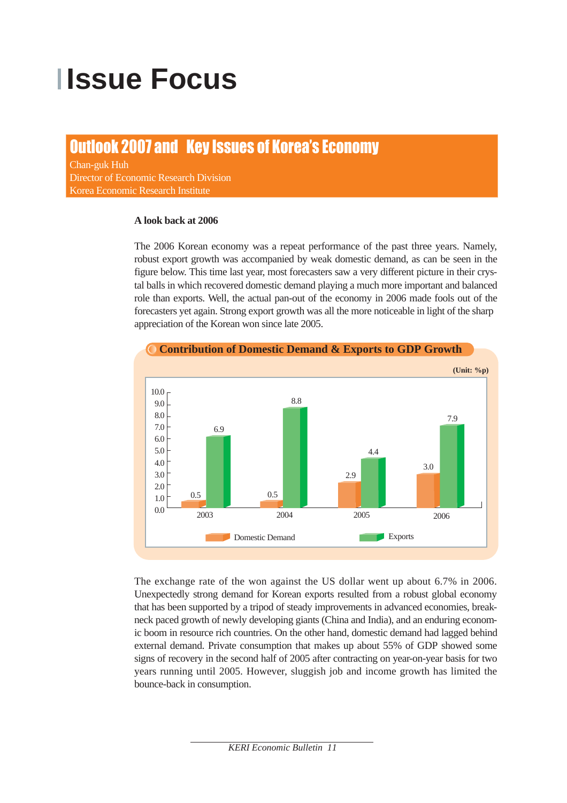# **Ilssue Focus**

# Outlook 2007 and Key Issues of Korea's Economy

Chan-guk Huh Director of Economic Research Division Korea Economic Research Institute

#### **A look back at 2006**

The 2006 Korean economy was a repeat performance of the past three years. Namely, robust export growth was accompanied by weak domestic demand, as can be seen in the figure below. This time last year, most forecasters saw a very different picture in their crystal balls in which recovered domestic demand playing a much more important and balanced role than exports. Well, the actual pan-out of the economy in 2006 made fools out of the forecasters yet again. Strong export growth was all the more noticeable in light of the sharp appreciation of the Korean won since late 2005.



The exchange rate of the won against the US dollar went up about 6.7% in 2006. Unexpectedly strong demand for Korean exports resulted from a robust global economy that has been supported by a tripod of steady improvements in advanced economies, breakneck paced growth of newly developing giants (China and India), and an enduring economic boom in resource rich countries. On the other hand, domestic demand had lagged behind external demand. Private consumption that makes up about 55% of GDP showed some signs of recovery in the second half of 2005 after contracting on year-on-year basis for two years running until 2005. However, sluggish job and income growth has limited the bounce-back in consumption.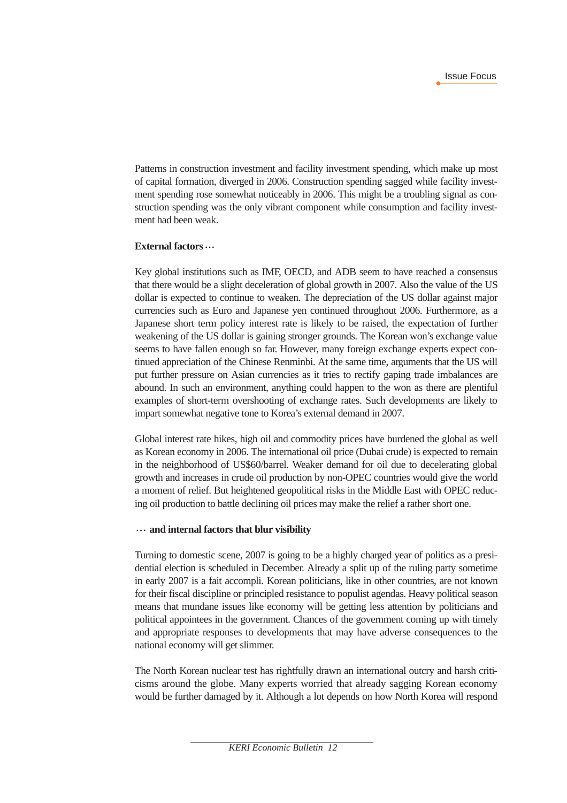Patterns in construction investment and facility investment spending, which make up most of capital formation, diverged in 2006. Construction spending sagged while facility investment spending rose somewhat noticeably in 2006. This might be a troubling signal as construction spending was the only vibrant component while consumption and facility investment had been weak.

#### **External factors**

Key global institutions such as IMF, OECD, and ADB seem to have reached a consensus that there would be a slight deceleration of global growth in 2007. Also the value of the US dollar is expected to continue to weaken. The depreciation of the US dollar against major currencies such as Euro and Japanese yen continued throughout 2006. Furthermore, as a Japanese short term policy interest rate is likely to be raised, the expectation of further weakening of the US dollar is gaining stronger grounds. The Korean won's exchange value seems to have fallen enough so far. However, many foreign exchange experts expect continued appreciation of the Chinese Renminbi. At the same time, arguments that the US will put further pressure on Asian currencies as it tries to rectify gaping trade imbalances are abound. In such an environment, anything could happen to the won as there are plentiful examples of short-term overshooting of exchange rates. Such developments are likely to impart somewhat negative tone to Korea's external demand in 2007.

Global interest rate hikes, high oil and commodity prices have burdened the global as well as Korean economy in 2006. The international oil price (Dubai crude) is expected to remain in the neighborhood of US\$60/barrel. Weaker demand for oil due to decelerating global growth and increases in crude oil production by non-OPEC countries would give the world a moment of relief. But heightened geopolitical risks in the Middle East with OPEC reducing oil production to battle declining oil prices may make the relief a rather short one.

#### **and internal factors that blur visibility**

Turning to domestic scene, 2007 is going to be a highly charged year of politics as a presidential election is scheduled in December. Already a split up of the ruling party sometime in early 2007 is a fait accompli. Korean politicians, like in other countries, are not known for their fiscal discipline or principled resistance to populist agendas. Heavy political season means that mundane issues like economy will be getting less attention by politicians and political appointees in the government. Chances of the government coming up with timely and appropriate responses to developments that may have adverse consequences to the national economy will get slimmer.

The North Korean nuclear test has rightfully drawn an international outcry and harsh criticisms around the globe. Many experts worried that already sagging Korean economy would be further damaged by it. Although a lot depends on how North Korea will respond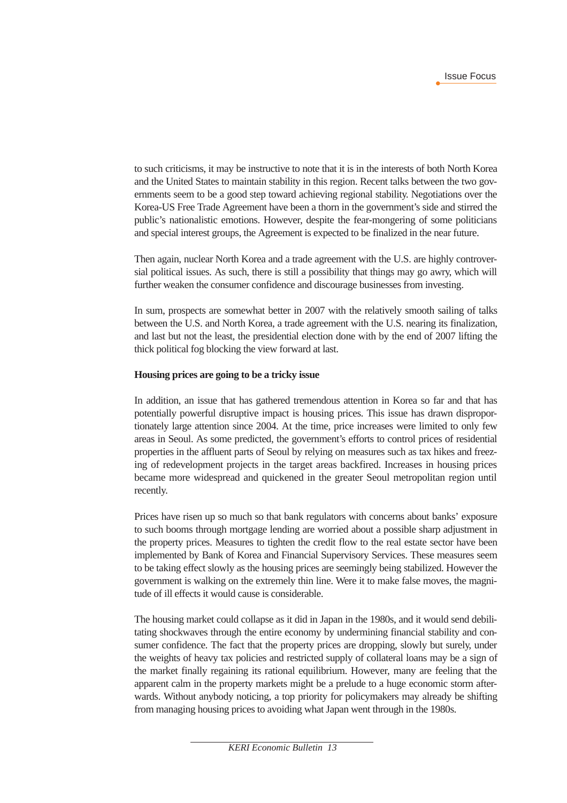to such criticisms, it may be instructive to note that it is in the interests of both North Korea and the United States to maintain stability in this region. Recent talks between the two governments seem to be a good step toward achieving regional stability. Negotiations over the Korea-US Free Trade Agreement have been a thorn in the government's side and stirred the public's nationalistic emotions. However, despite the fear-mongering of some politicians and special interest groups, the Agreement is expected to be finalized in the near future.

Then again, nuclear North Korea and a trade agreement with the U.S. are highly controversial political issues. As such, there is still a possibility that things may go awry, which will further weaken the consumer confidence and discourage businesses from investing.

In sum, prospects are somewhat better in 2007 with the relatively smooth sailing of talks between the U.S. and North Korea, a trade agreement with the U.S. nearing its finalization, and last but not the least, the presidential election done with by the end of 2007 lifting the thick political fog blocking the view forward at last.

#### **Housing prices are going to be a tricky issue**

In addition, an issue that has gathered tremendous attention in Korea so far and that has potentially powerful disruptive impact is housing prices. This issue has drawn disproportionately large attention since 2004. At the time, price increases were limited to only few areas in Seoul. As some predicted, the government's efforts to control prices of residential properties in the affluent parts of Seoul by relying on measures such as tax hikes and freezing of redevelopment projects in the target areas backfired. Increases in housing prices became more widespread and quickened in the greater Seoul metropolitan region until recently.

Prices have risen up so much so that bank regulators with concerns about banks' exposure to such booms through mortgage lending are worried about a possible sharp adjustment in the property prices. Measures to tighten the credit flow to the real estate sector have been implemented by Bank of Korea and Financial Supervisory Services. These measures seem to be taking effect slowly as the housing prices are seemingly being stabilized. However the government is walking on the extremely thin line. Were it to make false moves, the magnitude of ill effects it would cause is considerable.

The housing market could collapse as it did in Japan in the 1980s, and it would send debilitating shockwaves through the entire economy by undermining financial stability and consumer confidence. The fact that the property prices are dropping, slowly but surely, under the weights of heavy tax policies and restricted supply of collateral loans may be a sign of the market finally regaining its rational equilibrium. However, many are feeling that the apparent calm in the property markets might be a prelude to a huge economic storm afterwards. Without anybody noticing, a top priority for policymakers may already be shifting from managing housing prices to avoiding what Japan went through in the 1980s.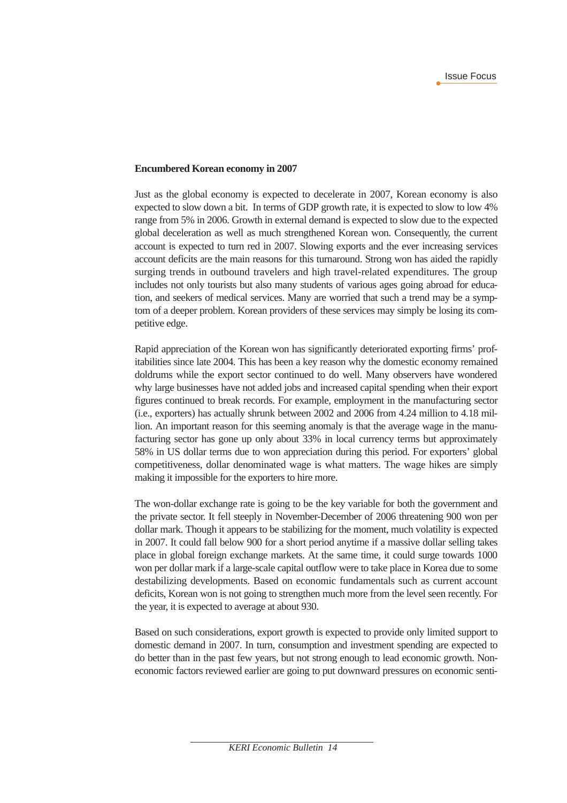#### **Encumbered Korean economy in 2007**

Just as the global economy is expected to decelerate in 2007, Korean economy is also expected to slow down a bit. In terms of GDP growth rate, it is expected to slow to low 4% range from 5% in 2006. Growth in external demand is expected to slow due to the expected global deceleration as well as much strengthened Korean won. Consequently, the current account is expected to turn red in 2007. Slowing exports and the ever increasing services account deficits are the main reasons for this turnaround. Strong won has aided the rapidly surging trends in outbound travelers and high travel-related expenditures. The group includes not only tourists but also many students of various ages going abroad for education, and seekers of medical services. Many are worried that such a trend may be a symptom of a deeper problem. Korean providers of these services may simply be losing its competitive edge.

Rapid appreciation of the Korean won has significantly deteriorated exporting firms' profitabilities since late 2004. This has been a key reason why the domestic economy remained doldrums while the export sector continued to do well. Many observers have wondered why large businesses have not added jobs and increased capital spending when their export figures continued to break records. For example, employment in the manufacturing sector (i.e., exporters) has actually shrunk between 2002 and 2006 from 4.24 million to 4.18 million. An important reason for this seeming anomaly is that the average wage in the manufacturing sector has gone up only about 33% in local currency terms but approximately 58% in US dollar terms due to won appreciation during this period. For exporters' global competitiveness, dollar denominated wage is what matters. The wage hikes are simply making it impossible for the exporters to hire more.

The won-dollar exchange rate is going to be the key variable for both the government and the private sector. It fell steeply in November-December of 2006 threatening 900 won per dollar mark. Though it appears to be stabilizing for the moment, much volatility is expected in 2007. It could fall below 900 for a short period anytime if a massive dollar selling takes place in global foreign exchange markets. At the same time, it could surge towards 1000 won per dollar mark if a large-scale capital outflow were to take place in Korea due to some destabilizing developments. Based on economic fundamentals such as current account deficits, Korean won is not going to strengthen much more from the level seen recently. For the year, it is expected to average at about 930.

Based on such considerations, export growth is expected to provide only limited support to domestic demand in 2007. In turn, consumption and investment spending are expected to do better than in the past few years, but not strong enough to lead economic growth. Noneconomic factors reviewed earlier are going to put downward pressures on economic senti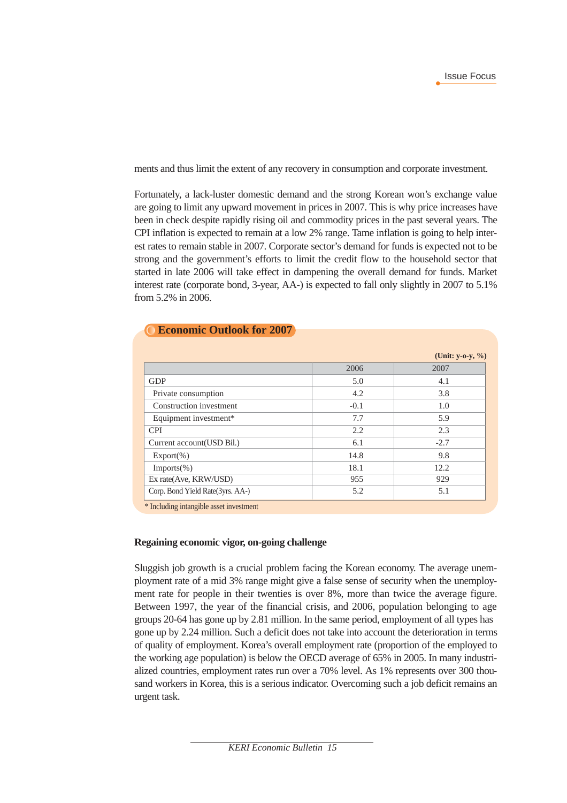ments and thus limit the extent of any recovery in consumption and corporate investment.

Fortunately, a lack-luster domestic demand and the strong Korean won's exchange value are going to limit any upward movement in prices in 2007. This is why price increases have been in check despite rapidly rising oil and commodity prices in the past several years. The CPI inflation is expected to remain at a low 2% range. Tame inflation is going to help interest rates to remain stable in 2007. Corporate sector's demand for funds is expected not to be strong and the government's efforts to limit the credit flow to the household sector that started in late 2006 will take effect in dampening the overall demand for funds. Market interest rate (corporate bond, 3-year, AA-) is expected to fall only slightly in 2007 to 5.1% from 5.2% in 2006.

|  | <b>Economic Outlook for 2007</b> |
|--|----------------------------------|
|--|----------------------------------|

|                                  |        | (Unit: $y-o-y, \%$ ) |
|----------------------------------|--------|----------------------|
|                                  | 2006   | 2007                 |
| <b>GDP</b>                       | 5.0    | 4.1                  |
| Private consumption              | 4.2    | 3.8                  |
| Construction investment          | $-0.1$ | 1.0                  |
| Equipment investment*            | 7.7    | 5.9                  |
| <b>CPI</b>                       | 2.2    | 2.3                  |
| Current account (USD Bil.)       | 6.1    | $-2.7$               |
| $Export(\% )$                    | 14.8   | 9.8                  |
| $Imports(\% )$                   | 18.1   | 12.2                 |
| Ex rate(Ave, KRW/USD)            | 955    | 929                  |
| Corp. Bond Yield Rate(3yrs. AA-) | 5.2    | 5.1                  |

\* Including intangible asset investment

#### **Regaining economic vigor, on-going challenge**

Sluggish job growth is a crucial problem facing the Korean economy. The average unemployment rate of a mid 3% range might give a false sense of security when the unemployment rate for people in their twenties is over 8%, more than twice the average figure. Between 1997, the year of the financial crisis, and 2006, population belonging to age groups 20-64 has gone up by 2.81 million. In the same period, employment of all types has gone up by 2.24 million. Such a deficit does not take into account the deterioration in terms of quality of employment. Korea's overall employment rate (proportion of the employed to the working age population) is below the OECD average of 65% in 2005. In many industrialized countries, employment rates run over a 70% level. As 1% represents over 300 thousand workers in Korea, this is a serious indicator. Overcoming such a job deficit remains an urgent task.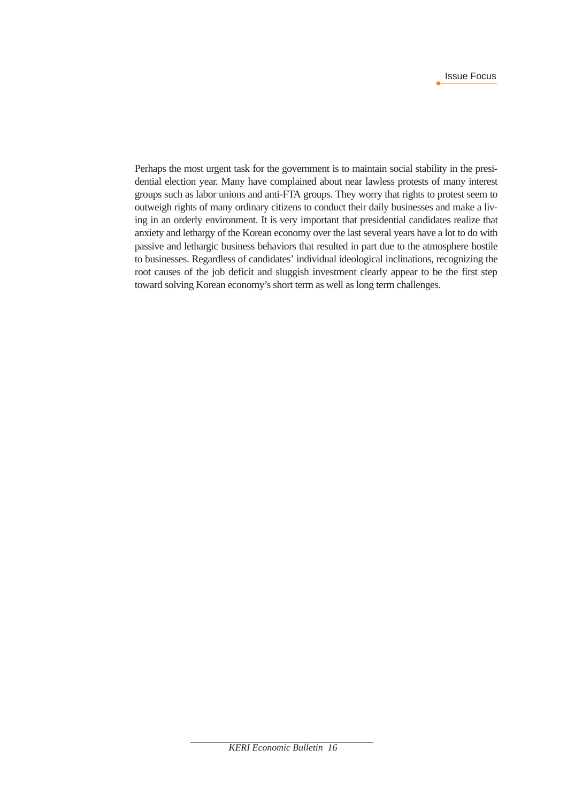Perhaps the most urgent task for the government is to maintain social stability in the presidential election year. Many have complained about near lawless protests of many interest groups such as labor unions and anti-FTA groups. They worry that rights to protest seem to outweigh rights of many ordinary citizens to conduct their daily businesses and make a living in an orderly environment. It is very important that presidential candidates realize that anxiety and lethargy of the Korean economy over the last several years have a lot to do with passive and lethargic business behaviors that resulted in part due to the atmosphere hostile to businesses. Regardless of candidates' individual ideological inclinations, recognizing the root causes of the job deficit and sluggish investment clearly appear to be the first step toward solving Korean economy's short term as well as long term challenges.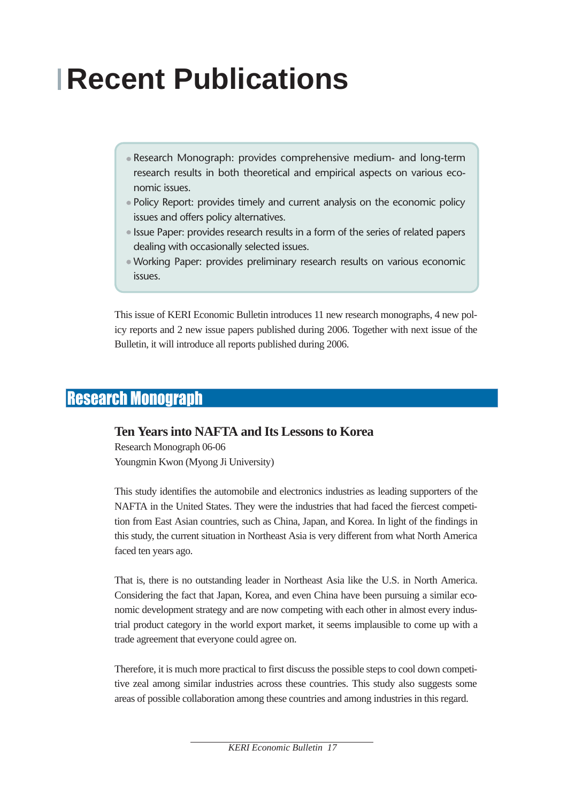# **Recent Publications**

- Research Monograph: provides comprehensive medium- and long-term research results in both theoretical and empirical aspects on various economic issues.
- Policy Report: provides timely and current analysis on the economic policy issues and offers policy alternatives.
- Issue Paper: provides research results in a form of the series of related papers dealing with occasionally selected issues.
- Working Paper: provides preliminary research results on various economic issues.

This issue of KERI Economic Bulletin introduces 11 new research monographs, 4 new policy reports and 2 new issue papers published during 2006. Together with next issue of the Bulletin, it will introduce all reports published during 2006.

### Research Monograph

#### **Ten Years into NAFTA and Its Lessons to Korea**

Research Monograph 06-06 Youngmin Kwon (Myong Ji University)

This study identifies the automobile and electronics industries as leading supporters of the NAFTA in the United States. They were the industries that had faced the fiercest competition from East Asian countries, such as China, Japan, and Korea. In light of the findings in this study, the current situation in Northeast Asia is very different from what North America faced ten years ago.

That is, there is no outstanding leader in Northeast Asia like the U.S. in North America. Considering the fact that Japan, Korea, and even China have been pursuing a similar economic development strategy and are now competing with each other in almost every industrial product category in the world export market, it seems implausible to come up with a trade agreement that everyone could agree on.

Therefore, it is much more practical to first discuss the possible steps to cool down competitive zeal among similar industries across these countries. This study also suggests some areas of possible collaboration among these countries and among industries in this regard.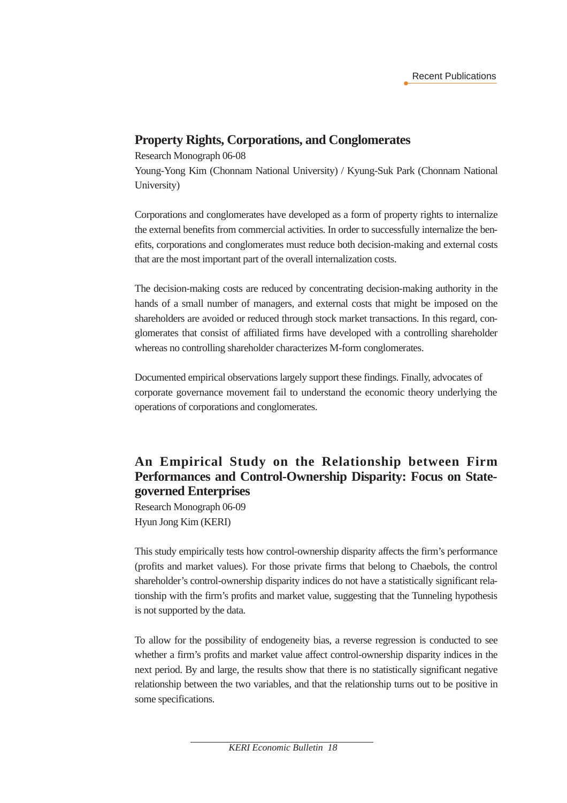#### **Property Rights, Corporations, and Conglomerates**

Research Monograph 06-08

Young-Yong Kim (Chonnam National University) / Kyung-Suk Park (Chonnam National University)

Corporations and conglomerates have developed as a form of property rights to internalize the external benefits from commercial activities. In order to successfully internalize the benefits, corporations and conglomerates must reduce both decision-making and external costs that are the most important part of the overall internalization costs.

The decision-making costs are reduced by concentrating decision-making authority in the hands of a small number of managers, and external costs that might be imposed on the shareholders are avoided or reduced through stock market transactions. In this regard, conglomerates that consist of affiliated firms have developed with a controlling shareholder whereas no controlling shareholder characterizes M-form conglomerates.

Documented empirical observations largely support these findings. Finally, advocates of corporate governance movement fail to understand the economic theory underlying the operations of corporations and conglomerates.

#### **An Empirical Study on the Relationship between Firm Performances and Control-Ownership Disparity: Focus on Stategoverned Enterprises**

Research Monograph 06-09 Hyun Jong Kim (KERI)

This study empirically tests how control-ownership disparity affects the firm's performance (profits and market values). For those private firms that belong to Chaebols, the control shareholder's control-ownership disparity indices do not have a statistically significant relationship with the firm's profits and market value, suggesting that the Tunneling hypothesis is not supported by the data.

To allow for the possibility of endogeneity bias, a reverse regression is conducted to see whether a firm's profits and market value affect control-ownership disparity indices in the next period. By and large, the results show that there is no statistically significant negative relationship between the two variables, and that the relationship turns out to be positive in some specifications.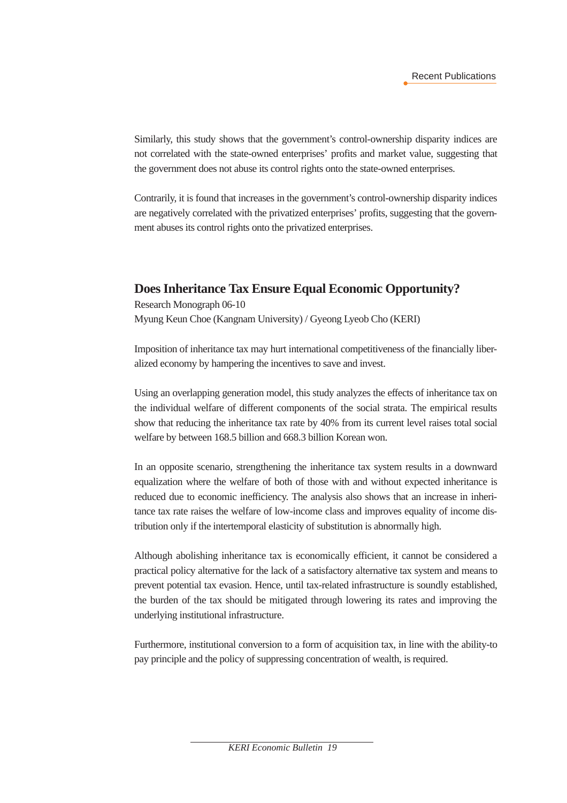Similarly, this study shows that the government's control-ownership disparity indices are not correlated with the state-owned enterprises' profits and market value, suggesting that the government does not abuse its control rights onto the state-owned enterprises.

Contrarily, it is found that increases in the government's control-ownership disparity indices are negatively correlated with the privatized enterprises' profits, suggesting that the government abuses its control rights onto the privatized enterprises.

#### **Does Inheritance Tax Ensure Equal Economic Opportunity?**

Research Monograph 06-10 Myung Keun Choe (Kangnam University) / Gyeong Lyeob Cho (KERI)

Imposition of inheritance tax may hurt international competitiveness of the financially liberalized economy by hampering the incentives to save and invest.

Using an overlapping generation model, this study analyzes the effects of inheritance tax on the individual welfare of different components of the social strata. The empirical results show that reducing the inheritance tax rate by 40% from its current level raises total social welfare by between 168.5 billion and 668.3 billion Korean won.

In an opposite scenario, strengthening the inheritance tax system results in a downward equalization where the welfare of both of those with and without expected inheritance is reduced due to economic inefficiency. The analysis also shows that an increase in inheritance tax rate raises the welfare of low-income class and improves equality of income distribution only if the intertemporal elasticity of substitution is abnormally high.

Although abolishing inheritance tax is economically efficient, it cannot be considered a practical policy alternative for the lack of a satisfactory alternative tax system and means to prevent potential tax evasion. Hence, until tax-related infrastructure is soundly established, the burden of the tax should be mitigated through lowering its rates and improving the underlying institutional infrastructure.

Furthermore, institutional conversion to a form of acquisition tax, in line with the ability-to pay principle and the policy of suppressing concentration of wealth, is required.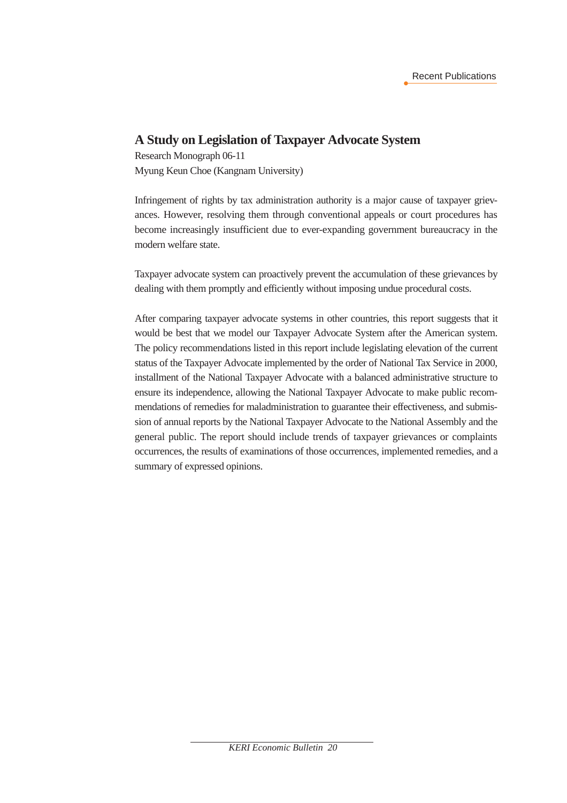#### **A Study on Legislation of Taxpayer Advocate System**

Research Monograph 06-11 Myung Keun Choe (Kangnam University)

Infringement of rights by tax administration authority is a major cause of taxpayer grievances. However, resolving them through conventional appeals or court procedures has become increasingly insufficient due to ever-expanding government bureaucracy in the modern welfare state.

Taxpayer advocate system can proactively prevent the accumulation of these grievances by dealing with them promptly and efficiently without imposing undue procedural costs.

After comparing taxpayer advocate systems in other countries, this report suggests that it would be best that we model our Taxpayer Advocate System after the American system. The policy recommendations listed in this report include legislating elevation of the current status of the Taxpayer Advocate implemented by the order of National Tax Service in 2000, installment of the National Taxpayer Advocate with a balanced administrative structure to ensure its independence, allowing the National Taxpayer Advocate to make public recommendations of remedies for maladministration to guarantee their effectiveness, and submission of annual reports by the National Taxpayer Advocate to the National Assembly and the general public. The report should include trends of taxpayer grievances or complaints occurrences, the results of examinations of those occurrences, implemented remedies, and a summary of expressed opinions.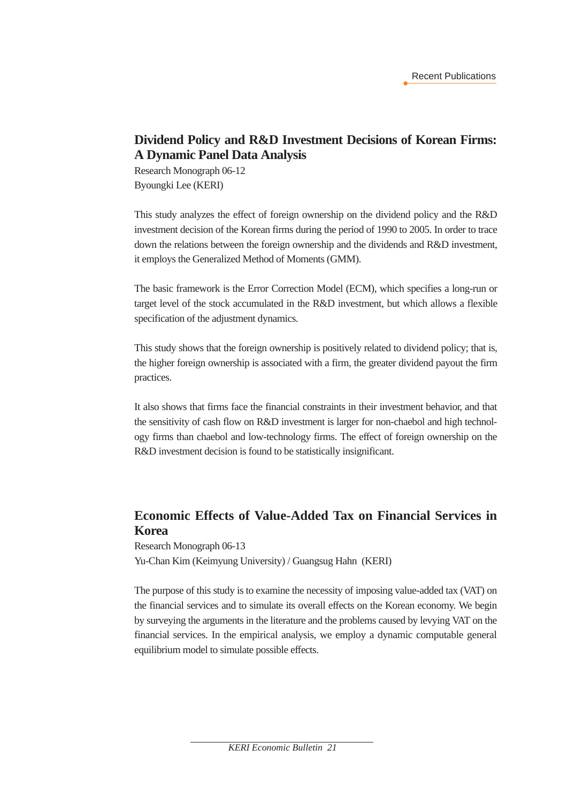#### **Dividend Policy and R&D Investment Decisions of Korean Firms: A Dynamic Panel Data Analysis**

Research Monograph 06-12 Byoungki Lee (KERI)

This study analyzes the effect of foreign ownership on the dividend policy and the R&D investment decision of the Korean firms during the period of 1990 to 2005. In order to trace down the relations between the foreign ownership and the dividends and R&D investment, it employs the Generalized Method of Moments (GMM).

The basic framework is the Error Correction Model (ECM), which specifies a long-run or target level of the stock accumulated in the R&D investment, but which allows a flexible specification of the adjustment dynamics.

This study shows that the foreign ownership is positively related to dividend policy; that is, the higher foreign ownership is associated with a firm, the greater dividend payout the firm practices.

It also shows that firms face the financial constraints in their investment behavior, and that the sensitivity of cash flow on R&D investment is larger for non-chaebol and high technology firms than chaebol and low-technology firms. The effect of foreign ownership on the R&D investment decision is found to be statistically insignificant.

#### **Economic Effects of Value-Added Tax on Financial Services in Korea**

Research Monograph 06-13 Yu-Chan Kim (Keimyung University) / Guangsug Hahn (KERI)

The purpose of this study is to examine the necessity of imposing value-added tax (VAT) on the financial services and to simulate its overall effects on the Korean economy. We begin by surveying the arguments in the literature and the problems caused by levying VAT on the financial services. In the empirical analysis, we employ a dynamic computable general equilibrium model to simulate possible effects.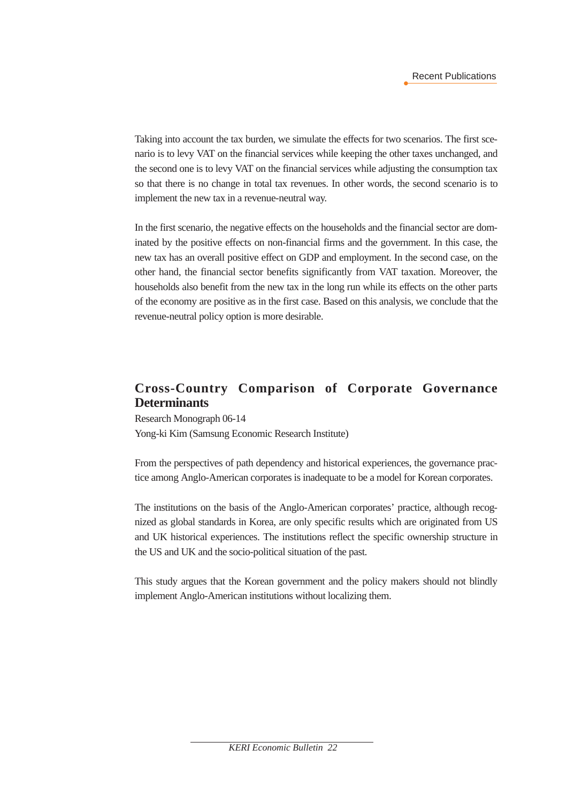Taking into account the tax burden, we simulate the effects for two scenarios. The first scenario is to levy VAT on the financial services while keeping the other taxes unchanged, and the second one is to levy VAT on the financial services while adjusting the consumption tax so that there is no change in total tax revenues. In other words, the second scenario is to implement the new tax in a revenue-neutral way.

In the first scenario, the negative effects on the households and the financial sector are dominated by the positive effects on non-financial firms and the government. In this case, the new tax has an overall positive effect on GDP and employment. In the second case, on the other hand, the financial sector benefits significantly from VAT taxation. Moreover, the households also benefit from the new tax in the long run while its effects on the other parts of the economy are positive as in the first case. Based on this analysis, we conclude that the revenue-neutral policy option is more desirable.

#### **Cross-Country Comparison of Corporate Governance Determinants**

Research Monograph 06-14 Yong-ki Kim (Samsung Economic Research Institute)

From the perspectives of path dependency and historical experiences, the governance practice among Anglo-American corporates is inadequate to be a model for Korean corporates.

The institutions on the basis of the Anglo-American corporates' practice, although recognized as global standards in Korea, are only specific results which are originated from US and UK historical experiences. The institutions reflect the specific ownership structure in the US and UK and the socio-political situation of the past.

This study argues that the Korean government and the policy makers should not blindly implement Anglo-American institutions without localizing them.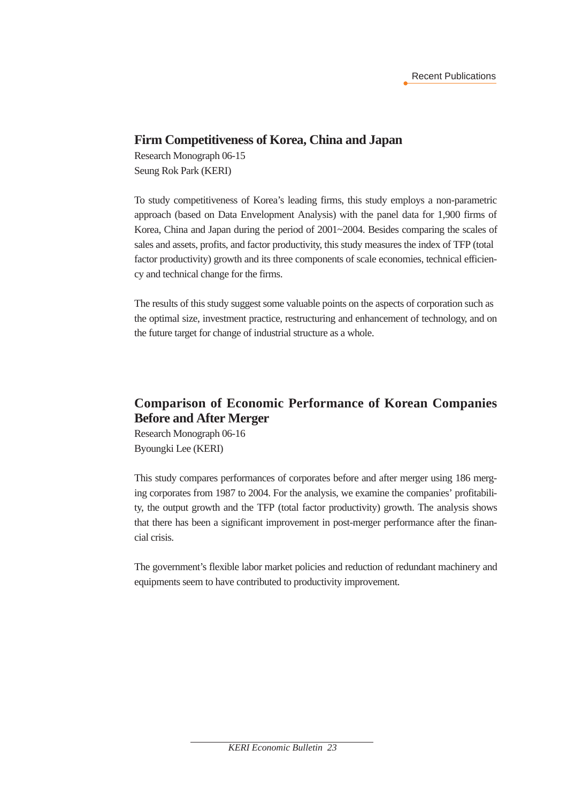#### **Firm Competitiveness of Korea, China and Japan**

Research Monograph 06-15 Seung Rok Park (KERI)

To study competitiveness of Korea's leading firms, this study employs a non-parametric approach (based on Data Envelopment Analysis) with the panel data for 1,900 firms of Korea, China and Japan during the period of 2001~2004. Besides comparing the scales of sales and assets, profits, and factor productivity, this study measures the index of TFP (total factor productivity) growth and its three components of scale economies, technical efficiency and technical change for the firms.

The results of this study suggest some valuable points on the aspects of corporation such as the optimal size, investment practice, restructuring and enhancement of technology, and on the future target for change of industrial structure as a whole.

#### **Comparison of Economic Performance of Korean Companies Before and After Merger**

Research Monograph 06-16 Byoungki Lee (KERI)

This study compares performances of corporates before and after merger using 186 merging corporates from 1987 to 2004. For the analysis, we examine the companies' profitability, the output growth and the TFP (total factor productivity) growth. The analysis shows that there has been a significant improvement in post-merger performance after the financial crisis.

The government's flexible labor market policies and reduction of redundant machinery and equipments seem to have contributed to productivity improvement.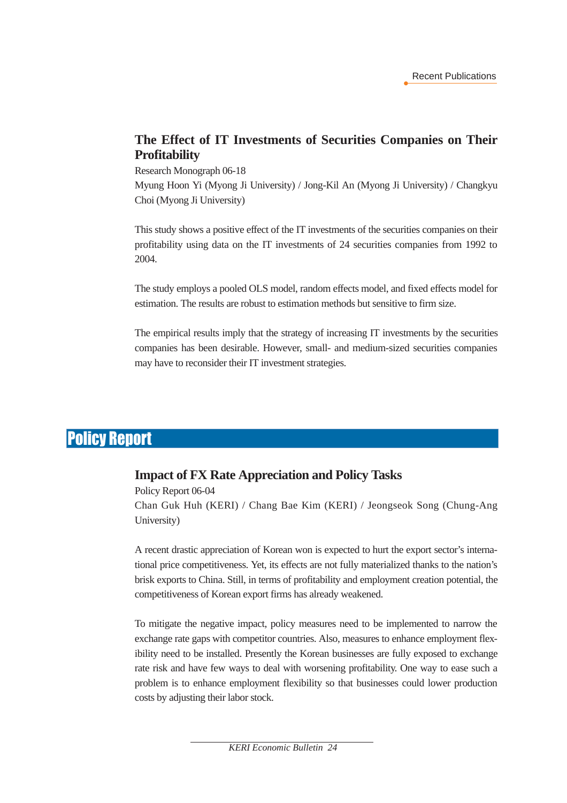#### **The Effect of IT Investments of Securities Companies on Their Profitability**

Research Monograph 06-18

Myung Hoon Yi (Myong Ji University) / Jong-Kil An (Myong Ji University) / Changkyu Choi (Myong Ji University)

This study shows a positive effect of the IT investments of the securities companies on their profitability using data on the IT investments of 24 securities companies from 1992 to 2004.

The study employs a pooled OLS model, random effects model, and fixed effects model for estimation. The results are robust to estimation methods but sensitive to firm size.

The empirical results imply that the strategy of increasing IT investments by the securities companies has been desirable. However, small- and medium-sized securities companies may have to reconsider their IT investment strategies.

### Policy Report

#### **Impact of FX Rate Appreciation and Policy Tasks**

Policy Report 06-04 Chan Guk Huh (KERI) / Chang Bae Kim (KERI) / Jeongseok Song (Chung-Ang University)

A recent drastic appreciation of Korean won is expected to hurt the export sector's international price competitiveness. Yet, its effects are not fully materialized thanks to the nation's brisk exports to China. Still, in terms of profitability and employment creation potential, the competitiveness of Korean export firms has already weakened.

To mitigate the negative impact, policy measures need to be implemented to narrow the exchange rate gaps with competitor countries. Also, measures to enhance employment flexibility need to be installed. Presently the Korean businesses are fully exposed to exchange rate risk and have few ways to deal with worsening profitability. One way to ease such a problem is to enhance employment flexibility so that businesses could lower production costs by adjusting their labor stock.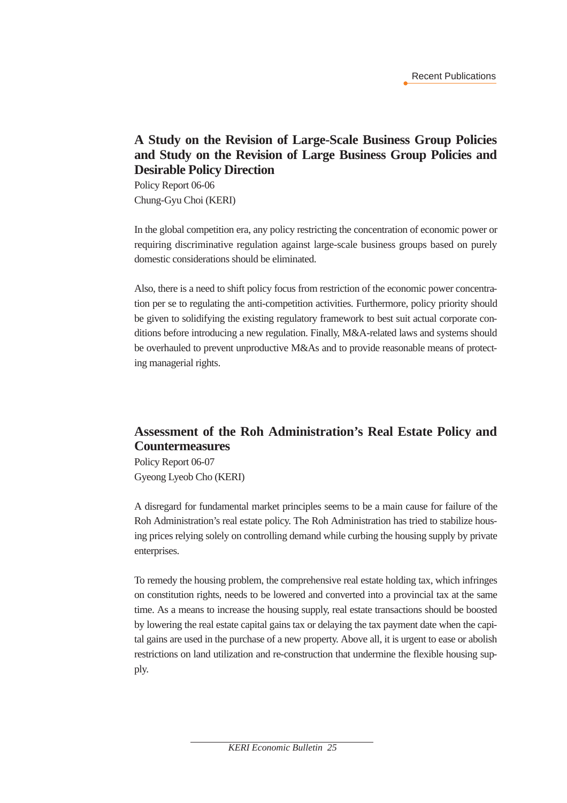#### **A Study on the Revision of Large-Scale Business Group Policies and Study on the Revision of Large Business Group Policies and Desirable Policy Direction**

Policy Report 06-06 Chung-Gyu Choi (KERI)

In the global competition era, any policy restricting the concentration of economic power or requiring discriminative regulation against large-scale business groups based on purely domestic considerations should be eliminated.

Also, there is a need to shift policy focus from restriction of the economic power concentration per se to regulating the anti-competition activities. Furthermore, policy priority should be given to solidifying the existing regulatory framework to best suit actual corporate conditions before introducing a new regulation. Finally, M&A-related laws and systems should be overhauled to prevent unproductive M&As and to provide reasonable means of protecting managerial rights.

#### **Assessment of the Roh Administration's Real Estate Policy and Countermeasures**

Policy Report 06-07 Gyeong Lyeob Cho (KERI)

A disregard for fundamental market principles seems to be a main cause for failure of the Roh Administration's real estate policy. The Roh Administration has tried to stabilize housing prices relying solely on controlling demand while curbing the housing supply by private enterprises.

To remedy the housing problem, the comprehensive real estate holding tax, which infringes on constitution rights, needs to be lowered and converted into a provincial tax at the same time. As a means to increase the housing supply, real estate transactions should be boosted by lowering the real estate capital gains tax or delaying the tax payment date when the capital gains are used in the purchase of a new property. Above all, it is urgent to ease or abolish restrictions on land utilization and re-construction that undermine the flexible housing supply.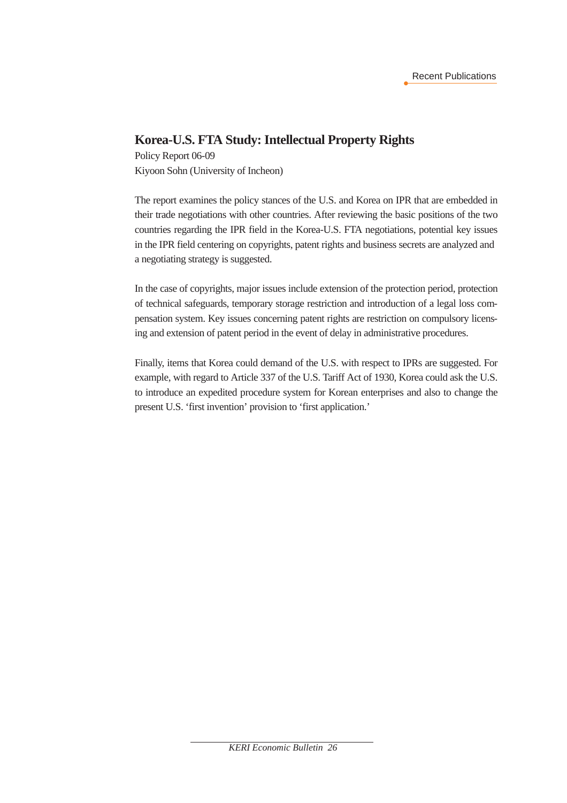#### **Korea-U.S. FTA Study: Intellectual Property Rights**

Policy Report 06-09 Kiyoon Sohn (University of Incheon)

The report examines the policy stances of the U.S. and Korea on IPR that are embedded in their trade negotiations with other countries. After reviewing the basic positions of the two countries regarding the IPR field in the Korea-U.S. FTA negotiations, potential key issues in the IPR field centering on copyrights, patent rights and business secrets are analyzed and a negotiating strategy is suggested.

In the case of copyrights, major issues include extension of the protection period, protection of technical safeguards, temporary storage restriction and introduction of a legal loss compensation system. Key issues concerning patent rights are restriction on compulsory licensing and extension of patent period in the event of delay in administrative procedures.

Finally, items that Korea could demand of the U.S. with respect to IPRs are suggested. For example, with regard to Article 337 of the U.S. Tariff Act of 1930, Korea could ask the U.S. to introduce an expedited procedure system for Korean enterprises and also to change the present U.S. 'first invention' provision to 'first application.'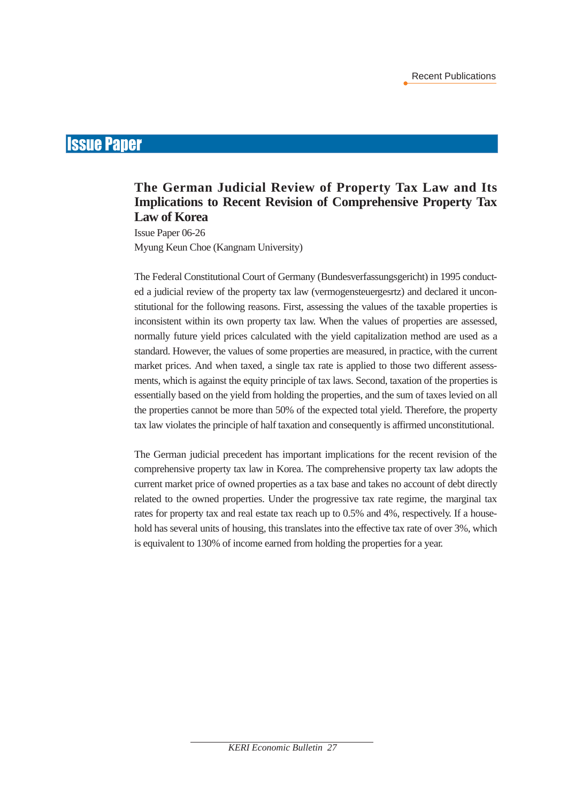### Issue Paper

#### **The German Judicial Review of Property Tax Law and Its Implications to Recent Revision of Comprehensive Property Tax Law of Korea**

Issue Paper 06-26 Myung Keun Choe (Kangnam University)

The Federal Constitutional Court of Germany (Bundesverfassungsgericht) in 1995 conducted a judicial review of the property tax law (vermogensteuergesrtz) and declared it unconstitutional for the following reasons. First, assessing the values of the taxable properties is inconsistent within its own property tax law. When the values of properties are assessed, normally future yield prices calculated with the yield capitalization method are used as a standard. However, the values of some properties are measured, in practice, with the current market prices. And when taxed, a single tax rate is applied to those two different assessments, which is against the equity principle of tax laws. Second, taxation of the properties is essentially based on the yield from holding the properties, and the sum of taxes levied on all the properties cannot be more than 50% of the expected total yield. Therefore, the property tax law violates the principle of half taxation and consequently is affirmed unconstitutional.

The German judicial precedent has important implications for the recent revision of the comprehensive property tax law in Korea. The comprehensive property tax law adopts the current market price of owned properties as a tax base and takes no account of debt directly related to the owned properties. Under the progressive tax rate regime, the marginal tax rates for property tax and real estate tax reach up to 0.5% and 4%, respectively. If a household has several units of housing, this translates into the effective tax rate of over 3%, which is equivalent to 130% of income earned from holding the properties for a year.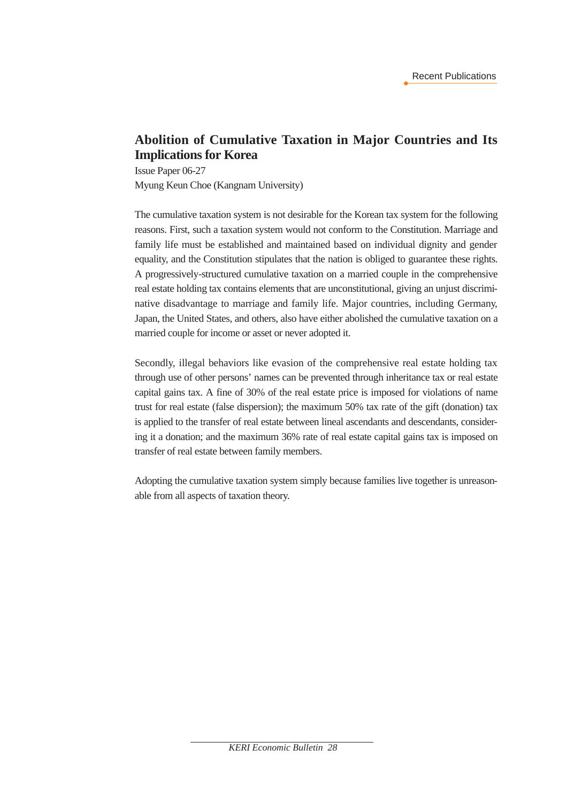#### **Abolition of Cumulative Taxation in Major Countries and Its Implications for Korea**

Issue Paper 06-27 Myung Keun Choe (Kangnam University)

The cumulative taxation system is not desirable for the Korean tax system for the following reasons. First, such a taxation system would not conform to the Constitution. Marriage and family life must be established and maintained based on individual dignity and gender equality, and the Constitution stipulates that the nation is obliged to guarantee these rights. A progressively-structured cumulative taxation on a married couple in the comprehensive real estate holding tax contains elements that are unconstitutional, giving an unjust discriminative disadvantage to marriage and family life. Major countries, including Germany, Japan, the United States, and others, also have either abolished the cumulative taxation on a married couple for income or asset or never adopted it.

Secondly, illegal behaviors like evasion of the comprehensive real estate holding tax through use of other persons' names can be prevented through inheritance tax or real estate capital gains tax. A fine of 30% of the real estate price is imposed for violations of name trust for real estate (false dispersion); the maximum 50% tax rate of the gift (donation) tax is applied to the transfer of real estate between lineal ascendants and descendants, considering it a donation; and the maximum 36% rate of real estate capital gains tax is imposed on transfer of real estate between family members.

Adopting the cumulative taxation system simply because families live together is unreasonable from all aspects of taxation theory.